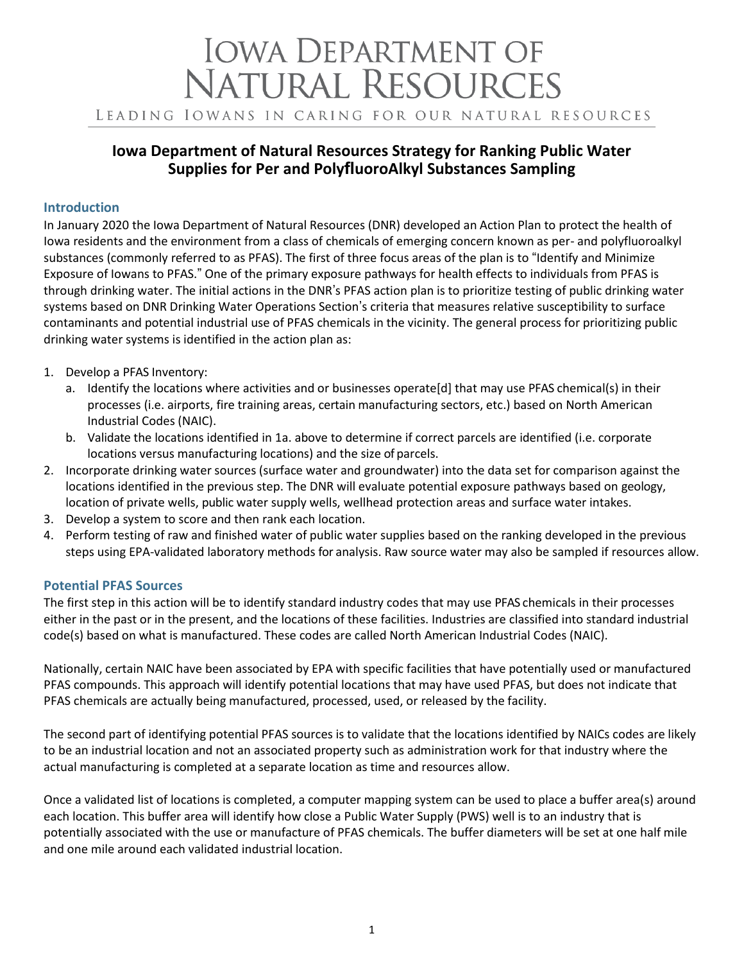# **IOWA DEPARTMENT OF NATURAL RESOURCES** LEADING IOWANS IN CARING FOR OUR NATURAL RESOURCES

# **Iowa Department of Natural Resources Strategy for Ranking Public Water Supplies for Per and PolyfluoroAlkyl Substances Sampling**

## **Introduction**

In January 2020 the Iowa Department of Natural Resources (DNR) developed an Action Plan to protect the health of Iowa residents and the environment from a class of chemicals of emerging concern known as per- and polyfluoroalkyl substances (commonly referred to as PFAS). The first of three focus areas of the plan is to "Identify and Minimize Exposure of Iowans to PFAS." One of the primary exposure pathways for health effects to individuals from PFAS is through drinking water. The initial actions in the DNR's PFAS action plan is to prioritize testing of public drinking water systems based on DNR Drinking Water Operations Section's criteria that measures relative susceptibility to surface contaminants and potential industrial use of PFAS chemicals in the vicinity. The general process for prioritizing public drinking water systems is identified in the action plan as:

- 1. Develop a PFAS Inventory:
	- a. Identify the locations where activities and or businesses operate[d] that may use PFAS chemical(s) in their processes (i.e. airports, fire training areas, certain manufacturing sectors, etc.) based on North American Industrial Codes (NAIC).
	- b. Validate the locations identified in 1a. above to determine if correct parcels are identified (i.e. corporate locations versus manufacturing locations) and the size of parcels.
- 2. Incorporate drinking water sources (surface water and groundwater) into the data set for comparison against the locations identified in the previous step. The DNR will evaluate potential exposure pathways based on geology, location of private wells, public water supply wells, wellhead protection areas and surface water intakes.
- 3. Develop a system to score and then rank each location.
- 4. Perform testing of raw and finished water of public water supplies based on the ranking developed in the previous steps using EPA-validated laboratory methods for analysis. Raw source water may also be sampled if resources allow.

# **Potential PFAS Sources**

The first step in this action will be to identify standard industry codes that may use PFAS chemicals in their processes either in the past or in the present, and the locations of these facilities. Industries are classified into standard industrial code(s) based on what is manufactured. These codes are called North American Industrial Codes (NAIC).

Nationally, certain NAIC have been associated by EPA with specific facilities that have potentially used or manufactured PFAS compounds. This approach will identify potential locations that may have used PFAS, but does not indicate that PFAS chemicals are actually being manufactured, processed, used, or released by the facility.

The second part of identifying potential PFAS sources is to validate that the locations identified by NAICs codes are likely to be an industrial location and not an associated property such as administration work for that industry where the actual manufacturing is completed at a separate location as time and resources allow.

Once a validated list of locations is completed, a computer mapping system can be used to place a buffer area(s) around each location. This buffer area will identify how close a Public Water Supply (PWS) well is to an industry that is potentially associated with the use or manufacture of PFAS chemicals. The buffer diameters will be set at one half mile and one mile around each validated industrial location.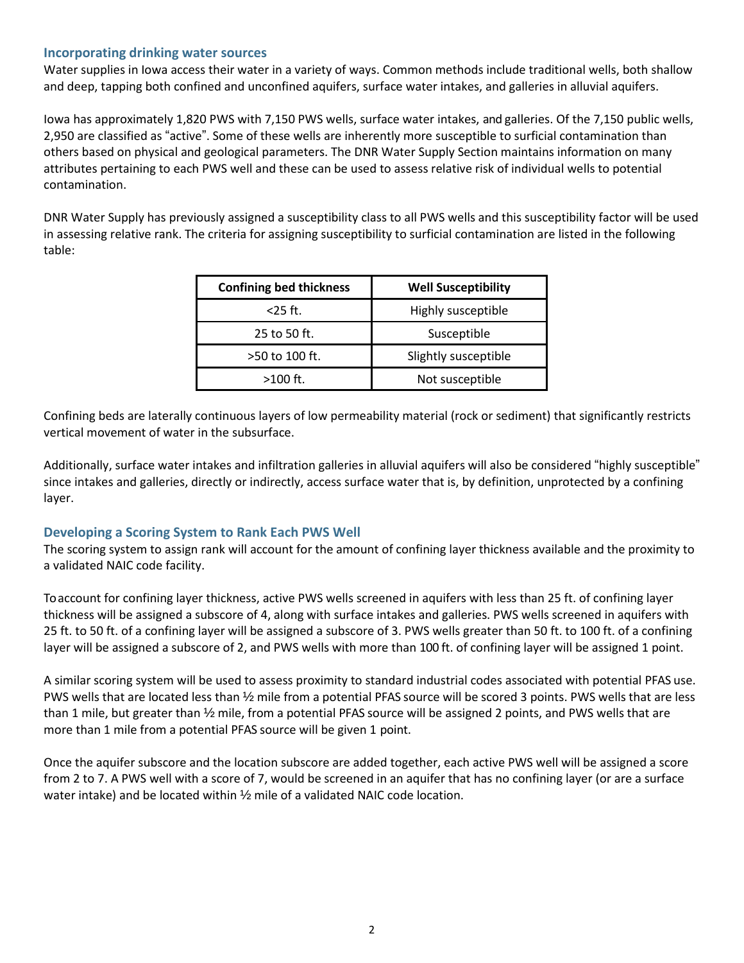### **Incorporating drinking water sources**

Water supplies in Iowa access their water in a variety of ways. Common methods include traditional wells, both shallow and deep, tapping both confined and unconfined aquifers, surface water intakes, and galleries in alluvial aquifers.

Iowa has approximately 1,820 PWS with 7,150 PWS wells, surface water intakes, and galleries. Of the 7,150 public wells, 2,950 are classified as "active". Some of these wells are inherently more susceptible to surficial contamination than others based on physical and geological parameters. The DNR Water Supply Section maintains information on many attributes pertaining to each PWS well and these can be used to assess relative risk of individual wells to potential contamination.

DNR Water Supply has previously assigned a susceptibility class to all PWS wells and this susceptibility factor will be used in assessing relative rank. The criteria for assigning susceptibility to surficial contamination are listed in the following table:

| <b>Confining bed thickness</b> | <b>Well Susceptibility</b> |
|--------------------------------|----------------------------|
| $<$ 25 ft.                     | Highly susceptible         |
| 25 to 50 ft.                   | Susceptible                |
| >50 to 100 ft.                 | Slightly susceptible       |
| $>100$ ft.                     | Not susceptible            |

Confining beds are laterally continuous layers of low permeability material (rock or sediment) that significantly restricts vertical movement of water in the subsurface.

Additionally, surface water intakes and infiltration galleries in alluvial aquifers will also be considered "highly susceptible" since intakes and galleries, directly or indirectly, access surface water that is, by definition, unprotected by a confining layer.

#### **Developing a Scoring System to Rank Each PWS Well**

The scoring system to assign rank will account for the amount of confining layer thickness available and the proximity to a validated NAIC code facility.

To account for confining layer thickness, active PWS wells screened in aquifers with less than 25 ft. of confining layer thickness will be assigned a subscore of 4, along with surface intakes and galleries. PWS wells screened in aquifers with 25 ft. to 50 ft. of a confining layer will be assigned a subscore of 3. PWS wells greater than 50 ft. to 100 ft. of a confining layer will be assigned a subscore of 2, and PWS wells with more than 100 ft. of confining layer will be assigned 1 point.

A similar scoring system will be used to assess proximity to standard industrial codes associated with potential PFAS use. PWS wells that are located less than ½ mile from a potential PFAS source will be scored 3 points. PWS wells that are less than 1 mile, but greater than ½ mile, from a potential PFAS source will be assigned 2 points, and PWS wells that are more than 1 mile from a potential PFAS source will be given 1 point.

Once the aquifer subscore and the location subscore are added together, each active PWS well will be assigned a score from 2 to 7. A PWS well with a score of 7, would be screened in an aquifer that has no confining layer (or are a surface water intake) and be located within ½ mile of a validated NAIC code location.